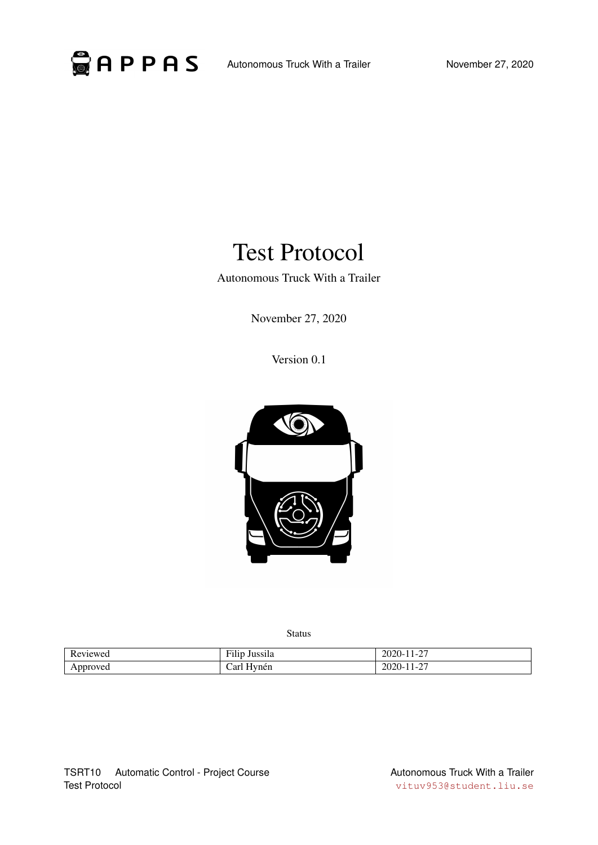

# Test Protocol

Autonomous Truck With a Trailer

November 27, 2020

Version 0.1



Status

| meweg<br>. | $\sim$<br>$\cdots$<br>Jussila<br>$-11$<br>1 H | $\sim$<br>$\mathbf{L}$<br>. .<br>ZUZU<br>$\overline{\phantom{0}}$<br>. . |
|------------|-----------------------------------------------|--------------------------------------------------------------------------|
| Approved   | 'ar<br>vnèn                                   | $\sim$<br>.<br>. .<br>ZU<br>∸<br>.                                       |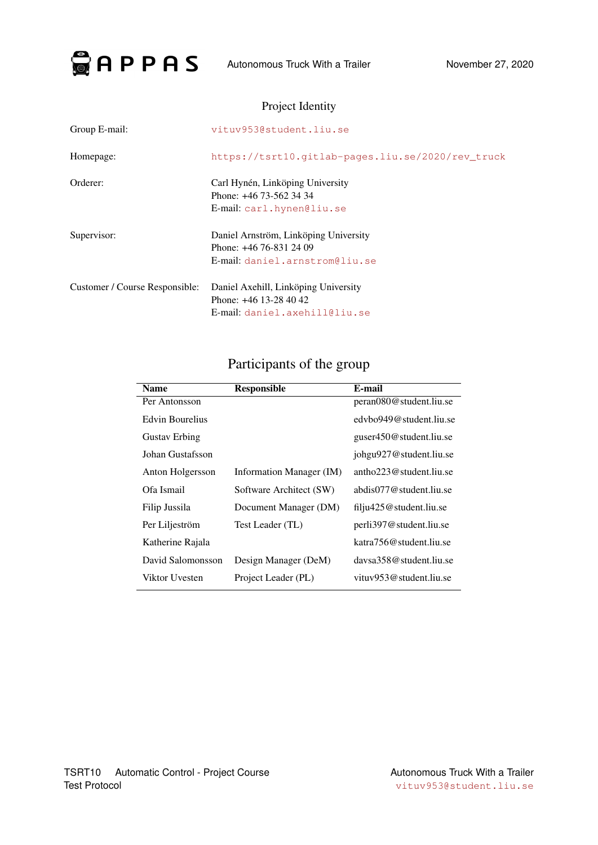

|                                | THUJUL TUUHII V                                                                                      |
|--------------------------------|------------------------------------------------------------------------------------------------------|
| Group E-mail:                  | vituv953@student.liu.se                                                                              |
| Homepage:                      | https://tsrt10.qitlab-pages.liu.se/2020/rev truck                                                    |
| Orderer:                       | Carl Hynén, Linköping University<br>Phone: +46 73-562 34 34<br>E-mail: carl.hynen@liu.se             |
| Supervisor:                    | Daniel Arnström, Linköping University<br>Phone: $+46$ 76-831 24 09<br>E-mail: daniel.arnstrom@liu.se |
| Customer / Course Responsible: | Daniel Axehill, Linköping University<br>Phone: $+46$ 13-28 40 42<br>E-mail: daniel.axehill@liu.se    |

### Project Identity

## Participants of the group

| <b>Name</b>          | <b>Responsible</b>       | E-mail                      |
|----------------------|--------------------------|-----------------------------|
| Per Antonsson        |                          | peran080@student.liu.se     |
| Edvin Bourelius      |                          | edybo949@student.liu.se     |
| <b>Gustav Erbing</b> |                          | guser450@student.liu.se     |
| Johan Gustafsson     |                          | johgu927@student.liu.se     |
| Anton Holgersson     | Information Manager (IM) | antho $223@$ student.liu.se |
| Ofa Ismail           | Software Architect (SW)  | abdis077@student.liu.se     |
| Filip Jussila        | Document Manager (DM)    | filju425@student.liu.se     |
| Per Liljeström       | Test Leader (TL)         | perli397@student.liu.se     |
| Katherine Rajala     |                          | katra 756@student.liu.se    |
| David Salomonsson    | Design Manager (DeM)     | davs358@student.liu.se      |
| Viktor Uvesten       | Project Leader (PL)      | vituv $953@$ student.liu.se |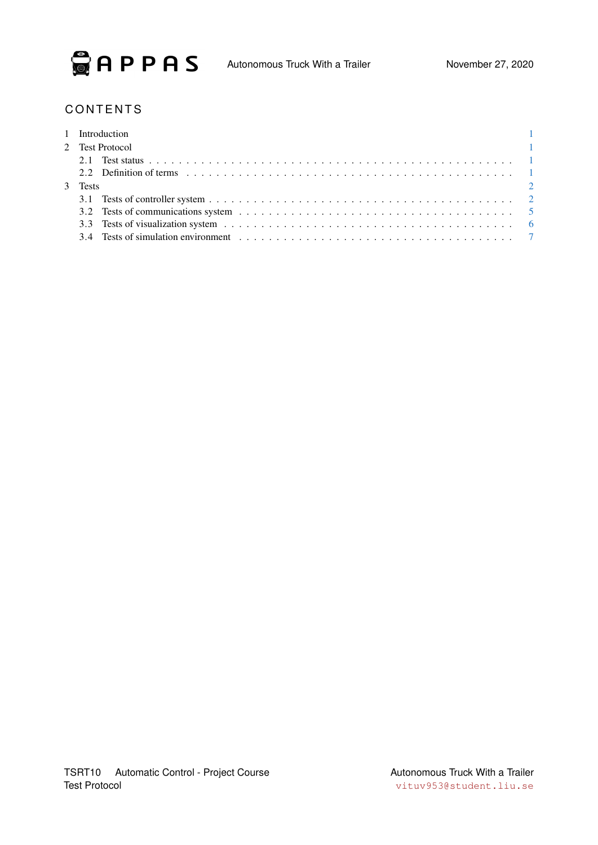

### **CONTENTS**

|         | 1 Introduction<br>$\sim$ 1 |
|---------|----------------------------|
|         | 2 Test Protocol            |
|         |                            |
|         |                            |
| 3 Tests | $\sim$ 2                   |
|         |                            |
|         |                            |
|         |                            |
|         |                            |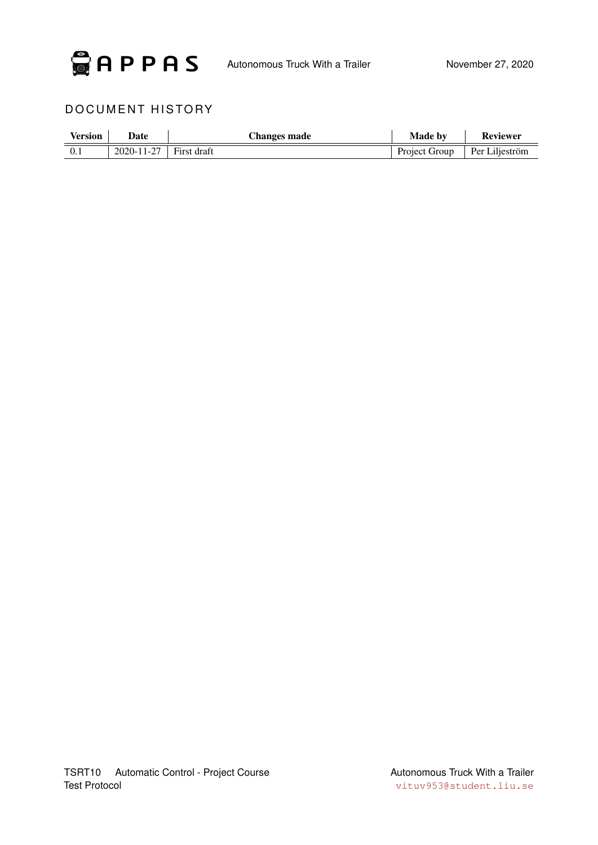

### DOCUMENT HISTORY

| <b>Version</b> | Date       | Changes made | <b>Made by</b> | <b>Reviewer</b> |
|----------------|------------|--------------|----------------|-----------------|
|                | 2020-11-27 | First draft  | Project Group  | Per Liljeström  |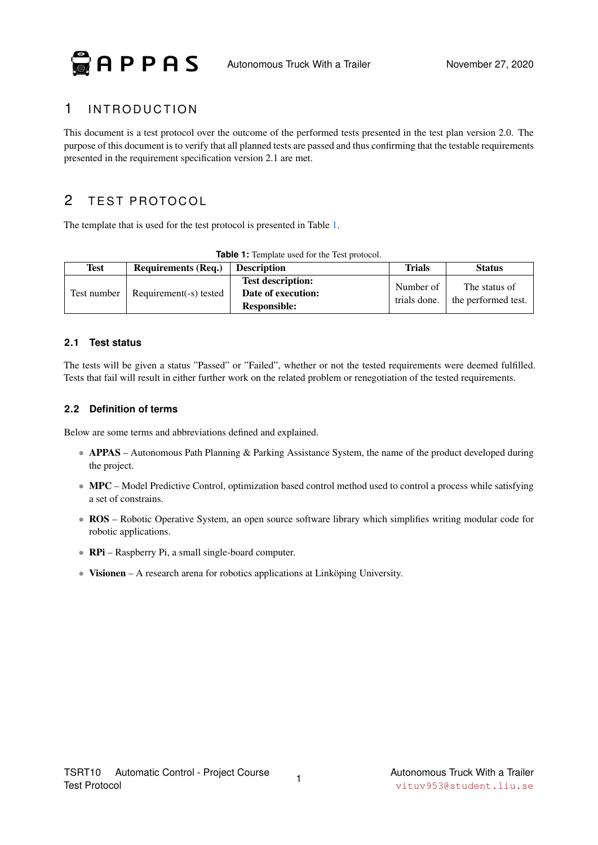$\odot$  APPAS

### <span id="page-4-0"></span>1 INTRODUCTION

This document is a test protocol over the outcome of the performed tests presented in the test plan version 2.0. The purpose of this document is to verify that all planned tests are passed and thus confirming that the testable requirements presented in the requirement specification version 2.1 are met.

### <span id="page-4-1"></span>2 TEST PROTOCOL

<span id="page-4-4"></span>The template that is used for the test protocol is presented in Table [1.](#page-4-4)

| <b>Test</b> | <b>Requirements (Req.)</b> | <b>Description</b>                                                    | Trials                    | <b>Status</b>                        |
|-------------|----------------------------|-----------------------------------------------------------------------|---------------------------|--------------------------------------|
| Test number | Requirement(-s) tested     | <b>Test description:</b><br>Date of execution:<br><b>Responsible:</b> | Number of<br>trials done. | The status of<br>the performed test. |

| Table 1: Template used for the Test protocol. |  |
|-----------------------------------------------|--|
|-----------------------------------------------|--|

### <span id="page-4-2"></span>**2.1 Test status**

The tests will be given a status "Passed" or "Failed", whether or not the tested requirements were deemed fulfilled. Tests that fail will result in either further work on the related problem or renegotiation of the tested requirements.

### <span id="page-4-3"></span>**2.2 Definition of terms**

Below are some terms and abbreviations defined and explained.

- APPAS Autonomous Path Planning & Parking Assistance System, the name of the product developed during the project.
- MPC Model Predictive Control, optimization based control method used to control a process while satisfying a set of constrains.
- ROS Robotic Operative System, an open source software library which simplifies writing modular code for robotic applications.
- RPi Raspberry Pi, a small single-board computer.
- Visionen A research arena for robotics applications at Linköping University.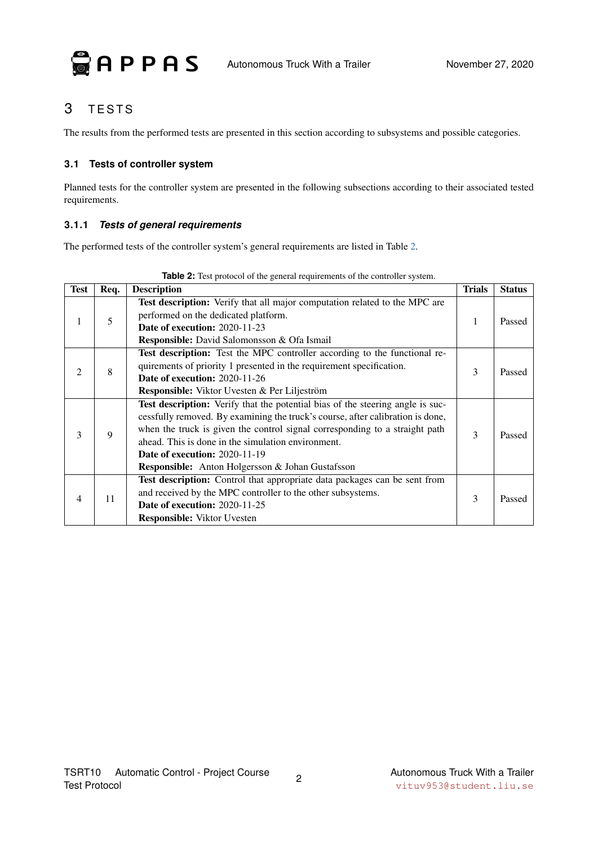

### <span id="page-5-0"></span>3 TESTS

The results from the performed tests are presented in this section according to subsystems and possible categories.

### <span id="page-5-1"></span>**3.1 Tests of controller system**

Planned tests for the controller system are presented in the following subsections according to their associated tested requirements.

### **3.1.1** *Tests of general requirements*

The performed tests of the controller system's general requirements are listed in Table [2.](#page-5-2)

<span id="page-5-2"></span>

| <b>Test</b>    | Req. | <b>Description</b>                                                                                                                                                                                                                                                                                                                                                                                       | <b>Trials</b> | <b>Status</b> |
|----------------|------|----------------------------------------------------------------------------------------------------------------------------------------------------------------------------------------------------------------------------------------------------------------------------------------------------------------------------------------------------------------------------------------------------------|---------------|---------------|
| 1              | 5    | Test description: Verify that all major computation related to the MPC are<br>performed on the dedicated platform.<br><b>Date of execution: 2020-11-23</b><br><b>Responsible:</b> David Salomonsson & Ofa Ismail                                                                                                                                                                                         |               | Passed        |
| $\mathfrak{D}$ | 8    | Test description: Test the MPC controller according to the functional re-<br>quirements of priority 1 presented in the requirement specification.<br><b>Date of execution: 2020-11-26</b><br><b>Responsible:</b> Viktor Uvesten & Per Liljeström                                                                                                                                                         | 3             | Passed        |
| 3              | 9    | Test description: Verify that the potential bias of the steering angle is suc-<br>cessfully removed. By examining the truck's course, after calibration is done,<br>when the truck is given the control signal corresponding to a straight path<br>ahead. This is done in the simulation environment.<br><b>Date of execution: 2020-11-19</b><br><b>Responsible:</b> Anton Holgersson & Johan Gustafsson | 3             | Passed        |
| 4              | 11   | Test description: Control that appropriate data packages can be sent from<br>and received by the MPC controller to the other subsystems.<br><b>Date of execution: 2020-11-25</b><br><b>Responsible:</b> Viktor Uvesten                                                                                                                                                                                   | 3             | Passed        |

**Table 2:** Test protocol of the general requirements of the controller system.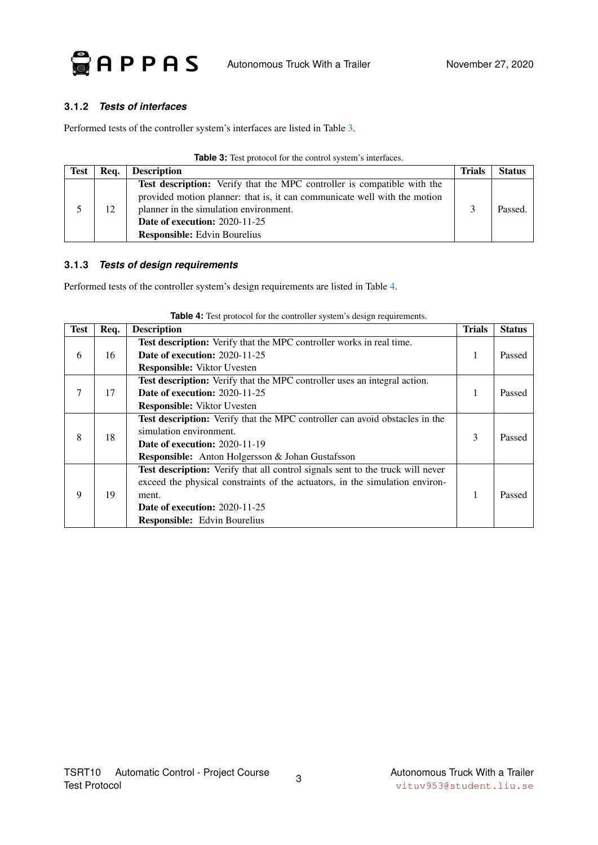

### **3.1.2** *Tests of interfaces*

Performed tests of the controller system's interfaces are listed in Table [3.](#page-6-0)

| Table 3: Test protocol for the control system's interfaces. |
|-------------------------------------------------------------|
|-------------------------------------------------------------|

| <b>Test</b> | Req. | <b>Description</b>                                                        | <b>Trials</b> | <b>Status</b> |
|-------------|------|---------------------------------------------------------------------------|---------------|---------------|
|             |      | Test description: Verify that the MPC controller is compatible with the   |               |               |
|             |      | provided motion planner: that is, it can communicate well with the motion |               |               |
|             | 12.  | planner in the simulation environment.                                    |               | Passed.       |
|             |      | <b>Date of execution: 2020-11-25</b>                                      |               |               |
|             |      | <b>Responsible:</b> Edvin Bourelius                                       |               |               |

#### <span id="page-6-0"></span>**3.1.3** *Tests of design requirements*

Performed tests of the controller system's design requirements are listed in Table [4.](#page-6-1)

<span id="page-6-1"></span>

| <b>Test</b> | Req.                          | <b>Description</b>                                                               | <b>Trials</b> | <b>Status</b> |
|-------------|-------------------------------|----------------------------------------------------------------------------------|---------------|---------------|
|             |                               | Test description: Verify that the MPC controller works in real time.             |               |               |
| 6           | 16                            | <b>Date of execution: 2020-11-25</b>                                             | 1             | Passed        |
|             |                               | <b>Responsible:</b> Viktor Uvesten                                               |               |               |
|             |                               | <b>Test description:</b> Verify that the MPC controller uses an integral action. |               |               |
| 7           | 17                            | <b>Date of execution: 2020-11-25</b>                                             | 1             | Passed        |
|             |                               | <b>Responsible:</b> Viktor Uvesten                                               |               |               |
|             | simulation environment.<br>18 | Test description: Verify that the MPC controller can avoid obstacles in the      |               |               |
| 8           |                               |                                                                                  | $\mathcal{F}$ | Passed        |
|             |                               | <b>Date of execution: 2020-11-19</b>                                             |               |               |
|             |                               | <b>Responsible:</b> Anton Holgersson & Johan Gustafsson                          |               |               |
|             |                               | Test description: Verify that all control signals sent to the truck will never   |               |               |
| 9           |                               | exceed the physical constraints of the actuators, in the simulation environ-     |               |               |
|             | 19                            | ment.                                                                            | 1             | Passed        |
|             |                               | <b>Date of execution: 2020-11-25</b>                                             |               |               |
|             |                               | <b>Responsible:</b> Edvin Bourelius                                              |               |               |

**Table 4:** Test protocol for the controller system's design requirements.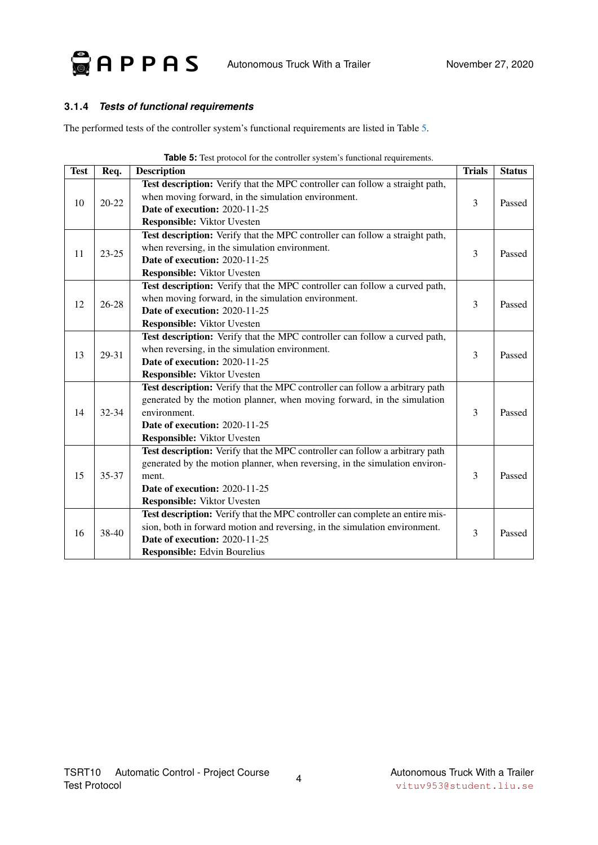

### **3.1.4** *Tests of functional requirements*

The performed tests of the controller system's functional requirements are listed in Table [5.](#page-7-0)

<span id="page-7-0"></span>

| <b>Test</b> | Req.      | $\sigma$ . Test protocol for the controller system s runctional requirements.<br><b>Description</b> | <b>Trials</b>  | <b>Status</b> |
|-------------|-----------|-----------------------------------------------------------------------------------------------------|----------------|---------------|
|             |           | Test description: Verify that the MPC controller can follow a straight path,                        |                |               |
|             |           | when moving forward, in the simulation environment.                                                 |                | Passed        |
| 10          | $20 - 22$ | Date of execution: 2020-11-25                                                                       | 3              |               |
|             |           | <b>Responsible:</b> Viktor Uvesten                                                                  |                |               |
|             |           | Test description: Verify that the MPC controller can follow a straight path,                        |                |               |
| 11          | $23 - 25$ | when reversing, in the simulation environment.                                                      | 3              | Passed        |
|             |           | Date of execution: 2020-11-25                                                                       |                |               |
|             |           | <b>Responsible:</b> Viktor Uvesten                                                                  |                |               |
|             |           | Test description: Verify that the MPC controller can follow a curved path,                          |                |               |
| 12          | $26 - 28$ | when moving forward, in the simulation environment.                                                 | $\overline{3}$ | Passed        |
|             |           | Date of execution: 2020-11-25                                                                       |                |               |
|             |           | <b>Responsible:</b> Viktor Uvesten                                                                  |                |               |
|             |           | Test description: Verify that the MPC controller can follow a curved path,                          |                |               |
| 13          | 29-31     | when reversing, in the simulation environment.                                                      | $\overline{3}$ | Passed        |
|             |           | Date of execution: 2020-11-25                                                                       |                |               |
|             |           | <b>Responsible:</b> Viktor Uvesten                                                                  |                |               |
|             |           | Test description: Verify that the MPC controller can follow a arbitrary path                        |                |               |
|             |           | generated by the motion planner, when moving forward, in the simulation                             |                |               |
| 14          | $32 - 34$ | environment.                                                                                        | 3              | Passed        |
|             |           | <b>Date of execution: 2020-11-25</b>                                                                |                |               |
|             |           | <b>Responsible:</b> Viktor Uvesten                                                                  |                |               |
|             |           | Test description: Verify that the MPC controller can follow a arbitrary path                        |                |               |
|             |           | generated by the motion planner, when reversing, in the simulation environ-                         |                |               |
| 15          | 35-37     | ment.                                                                                               | 3              | Passed        |
|             |           | Date of execution: 2020-11-25                                                                       |                |               |
|             |           | <b>Responsible:</b> Viktor Uvesten                                                                  |                |               |
|             |           | Test description: Verify that the MPC controller can complete an entire mis-                        |                |               |
| 16          | 38-40     | sion, both in forward motion and reversing, in the simulation environment.                          | 3              | Passed        |
|             |           | <b>Date of execution: 2020-11-25</b>                                                                |                |               |
|             |           | <b>Responsible:</b> Edvin Bourelius                                                                 |                |               |

**Table 5:** Test protocol for the controller system's functional requirements.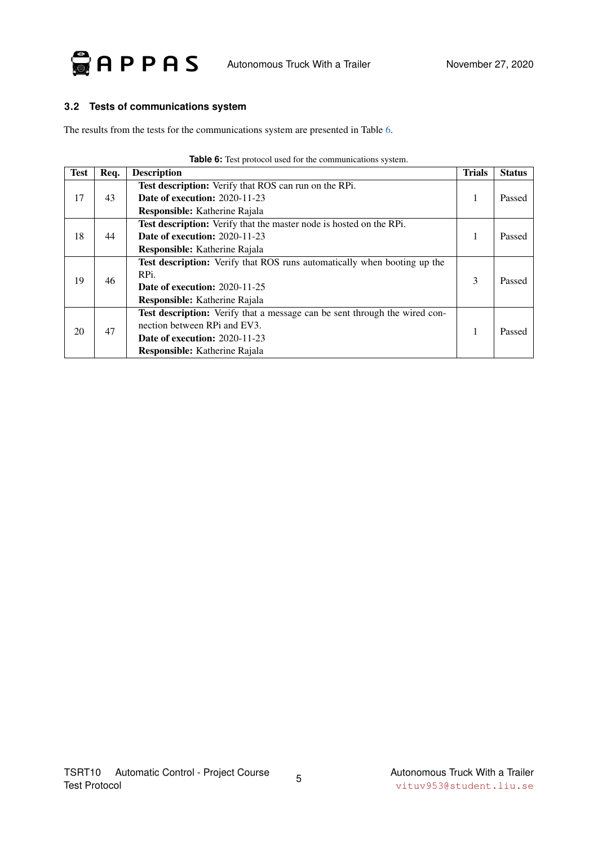

### <span id="page-8-0"></span>**3.2 Tests of communications system**

The results from the tests for the communications system are presented in Table [6.](#page-8-1)

<span id="page-8-1"></span>

| <b>Test</b> | Req. | <b>Description</b>                                                                | <b>Trials</b> | <b>Status</b> |
|-------------|------|-----------------------------------------------------------------------------------|---------------|---------------|
|             |      | Test description: Verify that ROS can run on the RPi.                             |               |               |
| 17          | 43   | <b>Date of execution: 2020-11-23</b>                                              | 1             | Passed        |
|             |      | <b>Responsible:</b> Katherine Rajala                                              |               |               |
|             |      | Test description: Verify that the master node is hosted on the RPi.               |               |               |
| 18          | 44   | <b>Date of execution: 2020-11-23</b>                                              | 1             | Passed        |
|             |      | <b>Responsible:</b> Katherine Rajala                                              |               |               |
|             |      | <b>Test description:</b> Verify that ROS runs automatically when booting up the   |               |               |
| 19          | 46   | RPi.                                                                              | 3             | Passed        |
|             |      | <b>Date of execution: 2020-11-25</b>                                              |               |               |
|             |      | <b>Responsible:</b> Katherine Rajala                                              |               |               |
| 20          |      | <b>Test description:</b> Verify that a message can be sent through the wired con- |               | Passed        |
|             | 47   | nection between RPi and EV3.                                                      | 1             |               |
|             |      | <b>Date of execution: 2020-11-23</b>                                              |               |               |
|             |      | <b>Responsible:</b> Katherine Rajala                                              |               |               |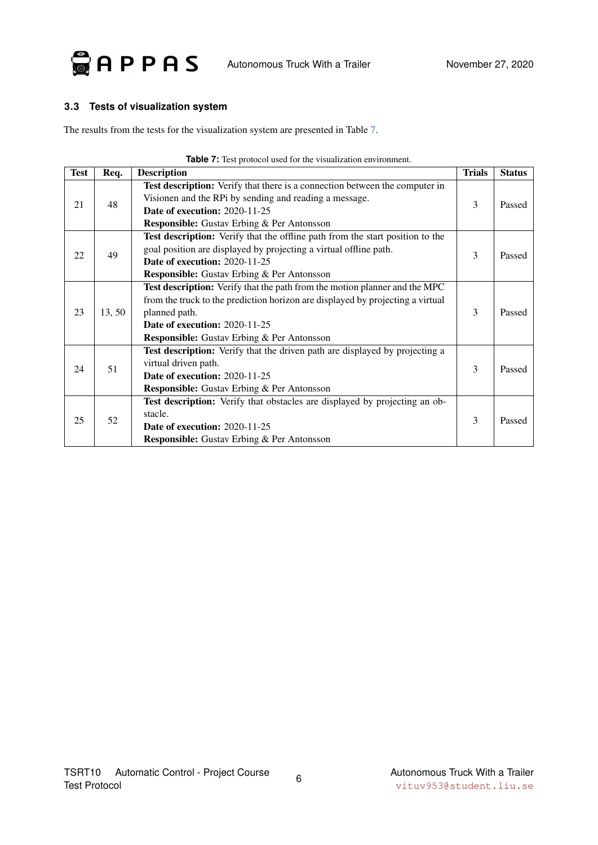

### <span id="page-9-0"></span>**3.3 Tests of visualization system**

The results from the tests for the visualization system are presented in Table [7.](#page-9-1)

<span id="page-9-1"></span>

| <b>Test</b> | Req.   | <b>Description</b>                                                                                                                                                                                                                                                         | <b>Trials</b> | <b>Status</b> |
|-------------|--------|----------------------------------------------------------------------------------------------------------------------------------------------------------------------------------------------------------------------------------------------------------------------------|---------------|---------------|
| 21          | 48     | Test description: Verify that there is a connection between the computer in<br>Visionen and the RPi by sending and reading a message.<br><b>Date of execution: 2020-11-25</b><br><b>Responsible:</b> Gustav Erbing & Per Antonsson                                         | 3             | Passed        |
| 22          | 49     | Test description: Verify that the offline path from the start position to the<br>goal position are displayed by projecting a virtual offline path.<br><b>Date of execution: 2020-11-25</b><br><b>Responsible:</b> Gustav Erbing & Per Antonsson                            | 3             | Passed        |
| 23          | 13, 50 | Test description: Verify that the path from the motion planner and the MPC<br>from the truck to the prediction horizon are displayed by projecting a virtual<br>planned path.<br><b>Date of execution: 2020-11-25</b><br><b>Responsible:</b> Gustav Erbing & Per Antonsson | 3             | Passed        |
| 24          | 51     | Test description: Verify that the driven path are displayed by projecting a<br>virtual driven path.<br>Date of execution: 2020-11-25<br><b>Responsible:</b> Gustav Erbing & Per Antonsson                                                                                  | 3             | Passed        |
| 25          | 52     | <b>Test description:</b> Verify that obstacles are displayed by projecting an ob-<br>stacle.<br><b>Date of execution: 2020-11-25</b><br><b>Responsible:</b> Gustav Erbing & Per Antonsson                                                                                  | 3             | Passed        |

| <b>Table 7:</b> Test protocol used for the visualization environment. |
|-----------------------------------------------------------------------|
|-----------------------------------------------------------------------|